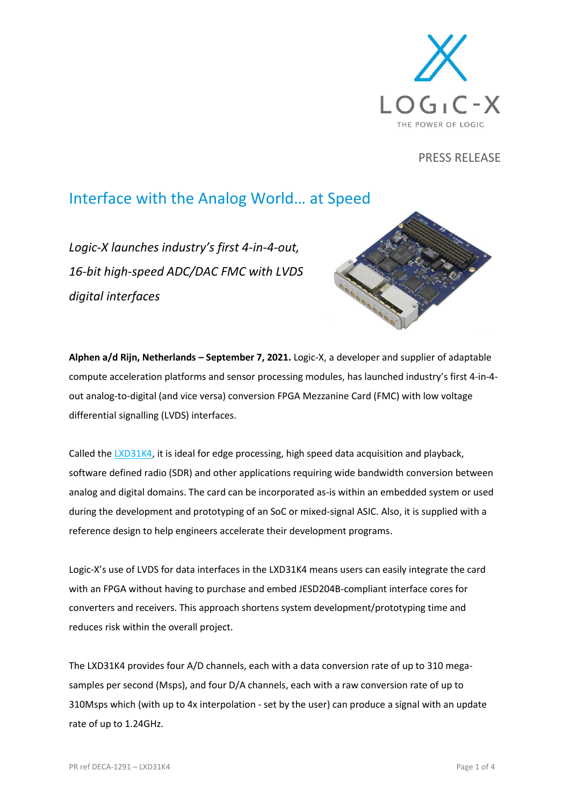

PRESS RELEASE

## Interface with the Analog World… at Speed

*Logic-X launches industry's first 4-in-4-out, 16-bit high-speed ADC/DAC FMC with LVDS digital interfaces*



**Alphen a/d Rijn, Netherlands – September 7, 2021.** Logic-X, a developer and supplier of adaptable compute acceleration platforms and sensor processing modules, has launched industry's first 4-in-4 out analog-to-digital (and vice versa) conversion FPGA Mezzanine Card (FMC) with low voltage differential signalling (LVDS) interfaces.

Called th[e LXD31K4,](https://www.logic-x.eu/LXD31K4) it is ideal for edge processing, high speed data acquisition and playback, software defined radio (SDR) and other applications requiring wide bandwidth conversion between analog and digital domains. The card can be incorporated as-is within an embedded system or used during the development and prototyping of an SoC or mixed-signal ASIC. Also, it is supplied with a reference design to help engineers accelerate their development programs.

Logic-X's use of LVDS for data interfaces in the LXD31K4 means users can easily integrate the card with an FPGA without having to purchase and embed JESD204B-compliant interface cores for converters and receivers. This approach shortens system development/prototyping time and reduces risk within the overall project.

The LXD31K4 provides four A/D channels, each with a data conversion rate of up to 310 megasamples per second (Msps), and four D/A channels, each with a raw conversion rate of up to 310Msps which (with up to 4x interpolation - set by the user) can produce a signal with an update rate of up to 1.24GHz.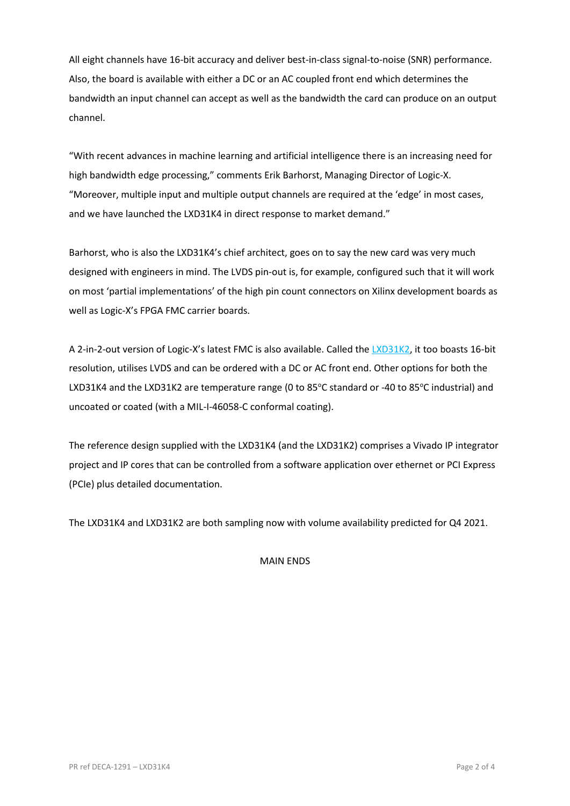All eight channels have 16-bit accuracy and deliver best-in-class signal-to-noise (SNR) performance. Also, the board is available with either a DC or an AC coupled front end which determines the bandwidth an input channel can accept as well as the bandwidth the card can produce on an output channel.

"With recent advances in machine learning and artificial intelligence there is an increasing need for high bandwidth edge processing," comments Erik Barhorst, Managing Director of Logic-X. "Moreover, multiple input and multiple output channels are required at the 'edge' in most cases, and we have launched the LXD31K4 in direct response to market demand."

Barhorst, who is also the LXD31K4's chief architect, goes on to say the new card was very much designed with engineers in mind. The LVDS pin-out is, for example, configured such that it will work on most 'partial implementations' of the high pin count connectors on Xilinx development boards as well as Logic-X's FPGA FMC carrier boards.

A 2-in-2-out version of Logic-X's latest FMC is also available. Called the [LXD31K2,](https://www.logic-x.eu/LXD31K2) it too boasts 16-bit resolution, utilises LVDS and can be ordered with a DC or AC front end. Other options for both the LXD31K4 and the LXD31K2 are temperature range (0 to 85°C standard or -40 to 85°C industrial) and uncoated or coated (with a MIL-I-46058-C conformal coating).

The reference design supplied with the LXD31K4 (and the LXD31K2) comprises a Vivado IP integrator project and IP cores that can be controlled from a software application over ethernet or PCI Express (PCIe) plus detailed documentation.

The LXD31K4 and LXD31K2 are both sampling now with volume availability predicted for Q4 2021.

MAIN ENDS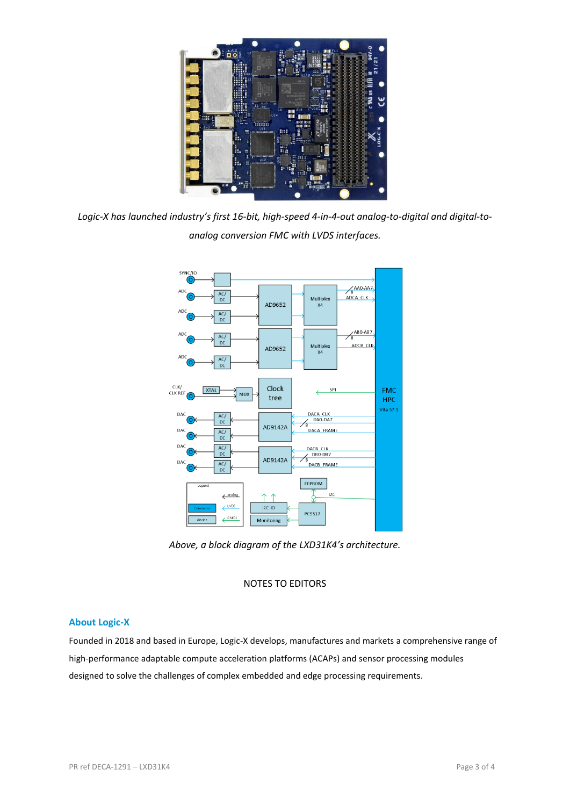

*Logic-X has launched industry's first 16-bit, high-speed 4-in-4-out analog-to-digital and digital-toanalog conversion FMC with LVDS interfaces.*



*Above, a block diagram of the LXD31K4's architecture.*

## NOTES TO EDITORS

## **About Logic-X**

Founded in 2018 and based in Europe, Logic-X develops, manufactures and markets a comprehensive range of high-performance adaptable compute acceleration platforms (ACAPs) and sensor processing modules designed to solve the challenges of complex embedded and edge processing requirements.